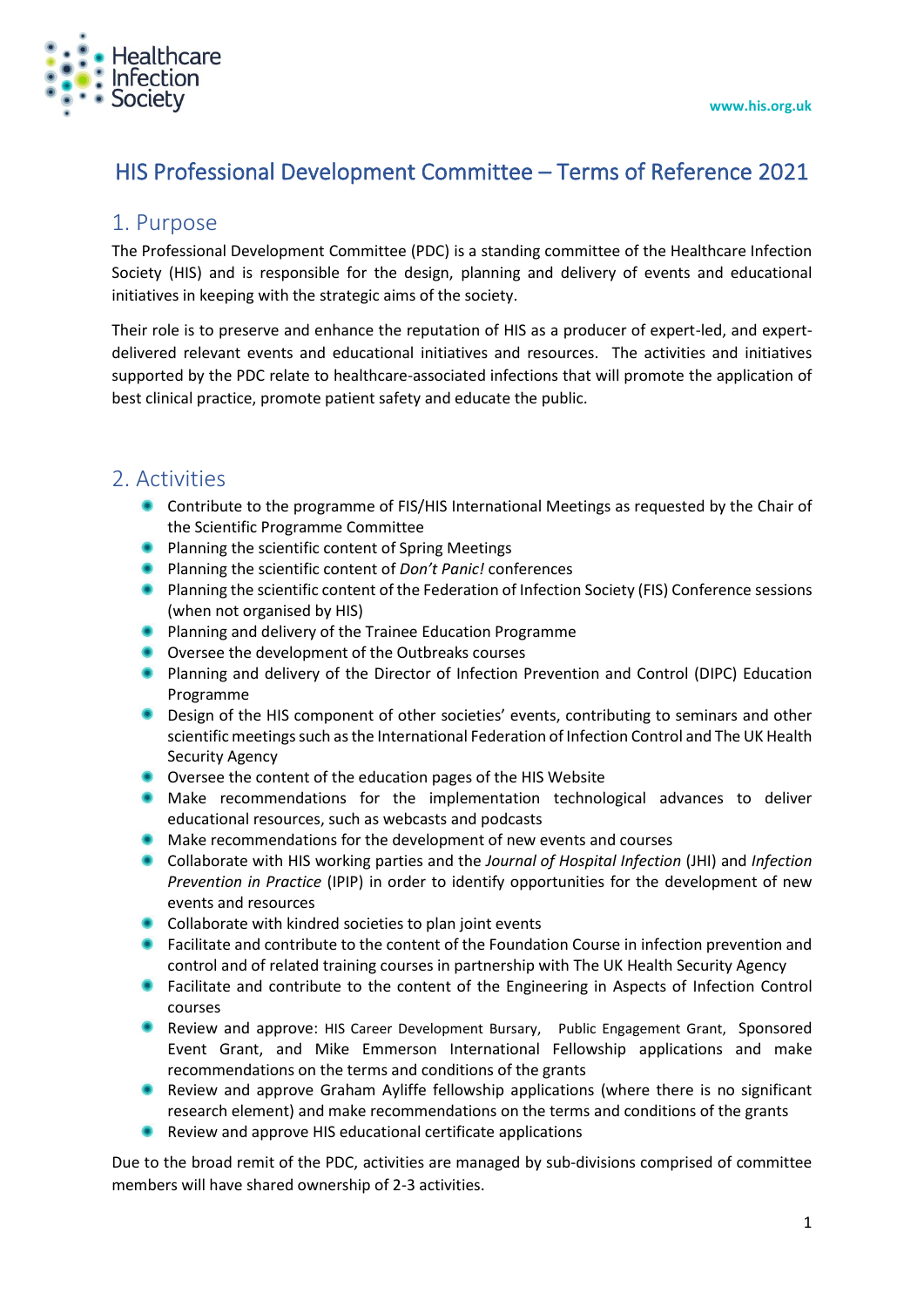

# HIS Professional Development Committee – Terms of Reference 2021

### 1. Purpose

The Professional Development Committee (PDC) is a standing committee of the Healthcare Infection Society (HIS) and is responsible for the design, planning and delivery of events and educational initiatives in keeping with the strategic aims of the society.

Their role is to preserve and enhance the reputation of HIS as a producer of expert-led, and expertdelivered relevant events and educational initiatives and resources. The activities and initiatives supported by the PDC relate to healthcare-associated infections that will promote the application of best clinical practice, promote patient safety and educate the public.

### 2. Activities

- Contribute to the programme of FIS/HIS International Meetings as requested by the Chair of the Scientific Programme Committee
- Planning the scientific content of Spring Meetings
- Planning the scientific content of *Don't Panic!* conferences
- **Planning the scientific content of the Federation of Infection Society (FIS) Conference sessions** (when not organised by HIS)
- **•** Planning and delivery of the Trainee Education Programme
- $\bullet$ Oversee the development of the Outbreaks courses
- Planning and delivery of the Director of Infection Prevention and Control (DIPC) Education Programme
- **Design of the HIS component of other societies' events, contributing to seminars and other** scientific meetings such as the International Federation of Infection Control and The UK Health Security Agency
- Oversee the content of the education pages of the HIS Website
- Make recommendations for the implementation technological advances to deliver educational resources, such as webcasts and podcasts
- $\bullet$  Make recommendations for the development of new events and courses
- Collaborate with HIS working parties and the *Journal of Hospital Infection* (JHI) and *Infection Prevention in Practice* (IPIP) in order to identify opportunities for the development of new events and resources
- Collaborate with kindred societies to plan joint events
- **•** Facilitate and contribute to the content of the Foundation Course in infection prevention and control and of related training courses in partnership with The UK Health Security Agency
- **•** Facilitate and contribute to the content of the Engineering in Aspects of Infection Control courses
- $\bullet$ Review and approve: HIS Career Development Bursary, Public Engagement Grant, Sponsored Event Grant, and Mike Emmerson International Fellowship applications and make recommendations on the terms and conditions of the grants
- Review and approve Graham Ayliffe fellowship applications (where there is no significant research element) and make recommendations on the terms and conditions of the grants
- Review and approve HIS educational certificate applications

Due to the broad remit of the PDC, activities are managed by sub-divisions comprised of committee members will have shared ownership of 2-3 activities.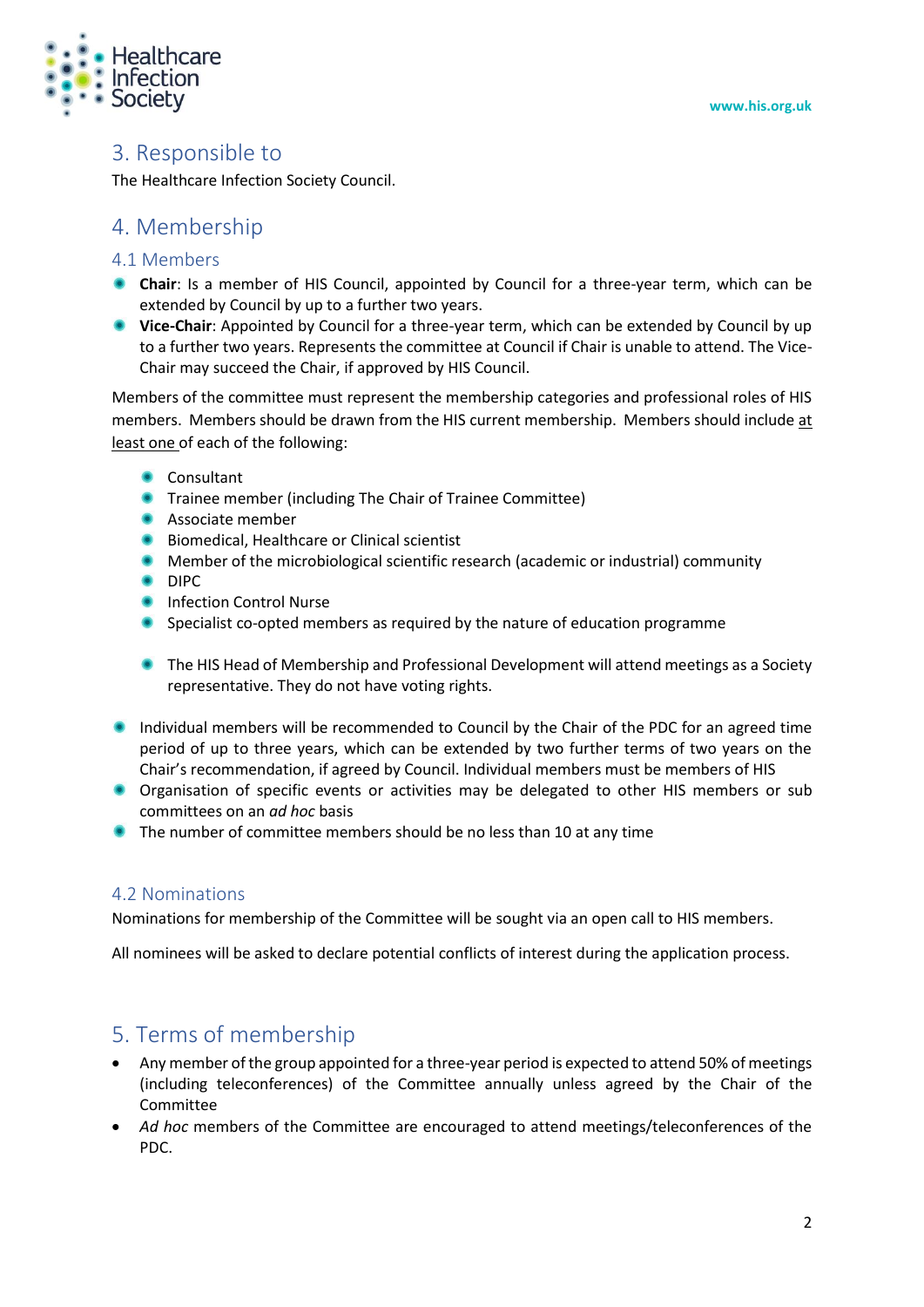

### 3. Responsible to

The Healthcare Infection Society Council.

### 4. Membership

#### 4.1 Members

- **Chair**: Is a member of HIS Council, appointed by Council for a three-year term, which can be extended by Council by up to a further two years.
- **Vice-Chair**: Appointed by Council for a three-year term, which can be extended by Council by up to a further two years. Represents the committee at Council if Chair is unable to attend. The Vice-Chair may succeed the Chair, if approved by HIS Council.

Members of the committee must represent the membership categories and professional roles of HIS members. Members should be drawn from the HIS current membership. Members should include at least one of each of the following:

- **Consultant**
- **Trainee member (including The Chair of Trainee Committee)**
- **Associate member**
- $\bullet$ Biomedical, Healthcare or Clinical scientist
- **Member of the microbiological scientific research (academic or industrial) community**
- $\bullet$ DIPC
- $\begin{array}{c} \bullet \\ \bullet \end{array}$ Infection Control Nurse
- $\bullet$ Specialist co-opted members as required by the nature of education programme
- **The HIS Head of Membership and Professional Development will attend meetings as a Society** representative. They do not have voting rights.
- Individual members will be recommended to Council by the Chair of the PDC for an agreed time period of up to three years, which can be extended by two further terms of two years on the Chair's recommendation, if agreed by Council. Individual members must be members of HIS
- Organisation of specific events or activities may be delegated to other HIS members or sub committees on an *ad hoc* basis
- The number of committee members should be no less than 10 at any time

#### 4.2 Nominations

Nominations for membership of the Committee will be sought via an open call to HIS members.

All nominees will be asked to declare potential conflicts of interest during the application process.

# 5. Terms of membership

- Any member of the group appointed for a three-year period is expected to attend 50% of meetings (including teleconferences) of the Committee annually unless agreed by the Chair of the Committee
- *Ad hoc* members of the Committee are encouraged to attend meetings/teleconferences of the PDC.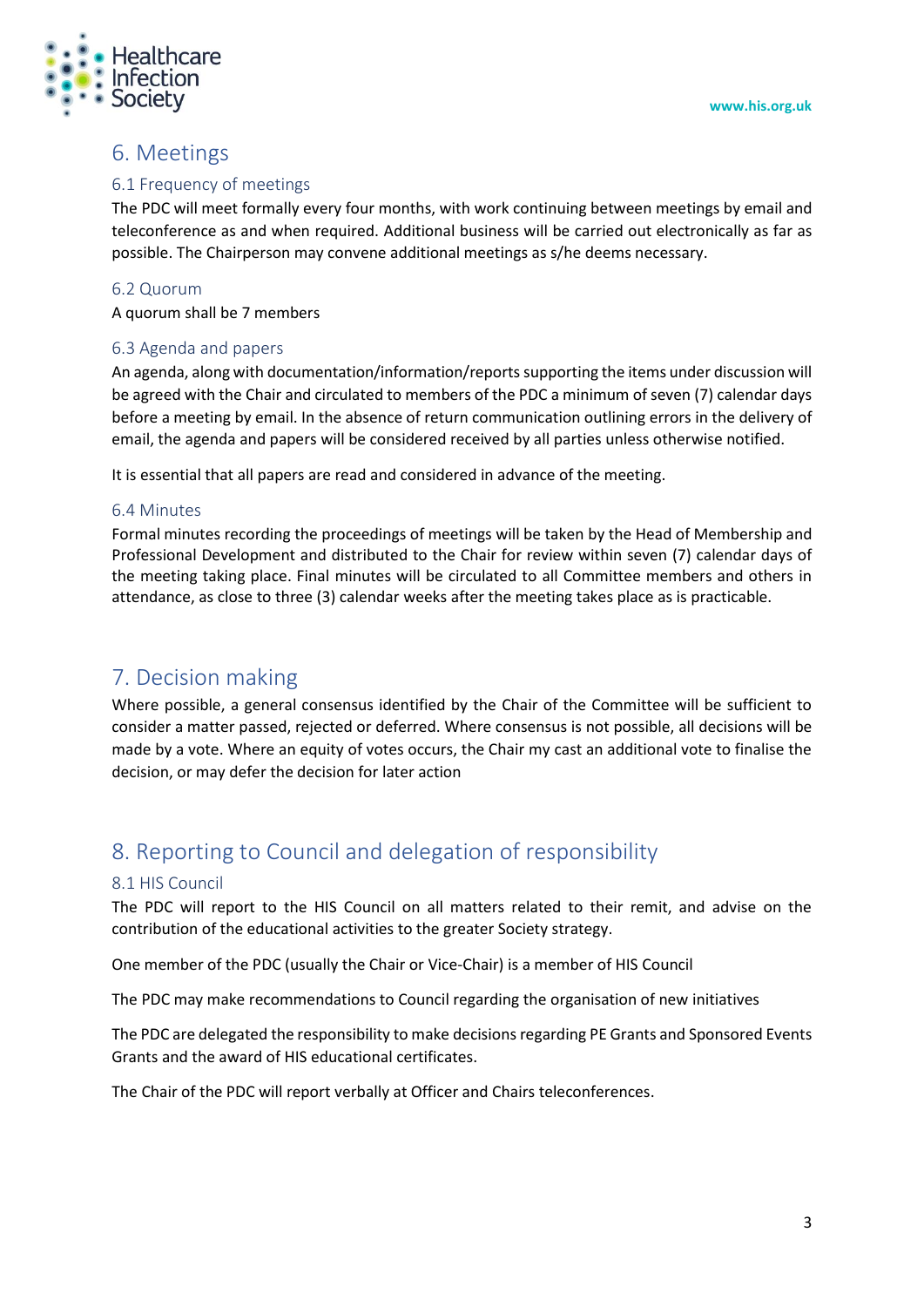

## 6. Meetings

#### 6.1 Frequency of meetings

The PDC will meet formally every four months, with work continuing between meetings by email and teleconference as and when required. Additional business will be carried out electronically as far as possible. The Chairperson may convene additional meetings as s/he deems necessary.

#### 6.2 Quorum

A quorum shall be 7 members

#### 6.3 Agenda and papers

An agenda, along with documentation/information/reports supporting the items under discussion will be agreed with the Chair and circulated to members of the PDC a minimum of seven (7) calendar days before a meeting by email. In the absence of return communication outlining errors in the delivery of email, the agenda and papers will be considered received by all parties unless otherwise notified.

It is essential that all papers are read and considered in advance of the meeting.

#### 6.4 Minutes

Formal minutes recording the proceedings of meetings will be taken by the Head of Membership and Professional Development and distributed to the Chair for review within seven (7) calendar days of the meeting taking place. Final minutes will be circulated to all Committee members and others in attendance, as close to three (3) calendar weeks after the meeting takes place as is practicable.

### 7. Decision making

Where possible, a general consensus identified by the Chair of the Committee will be sufficient to consider a matter passed, rejected or deferred. Where consensus is not possible, all decisions will be made by a vote. Where an equity of votes occurs, the Chair my cast an additional vote to finalise the decision, or may defer the decision for later action

## 8. Reporting to Council and delegation of responsibility

#### 8.1 HIS Council

The PDC will report to the HIS Council on all matters related to their remit, and advise on the contribution of the educational activities to the greater Society strategy.

One member of the PDC (usually the Chair or Vice-Chair) is a member of HIS Council

The PDC may make recommendations to Council regarding the organisation of new initiatives

The PDC are delegated the responsibility to make decisions regarding PE Grants and Sponsored Events Grants and the award of HIS educational certificates.

The Chair of the PDC will report verbally at Officer and Chairs teleconferences.